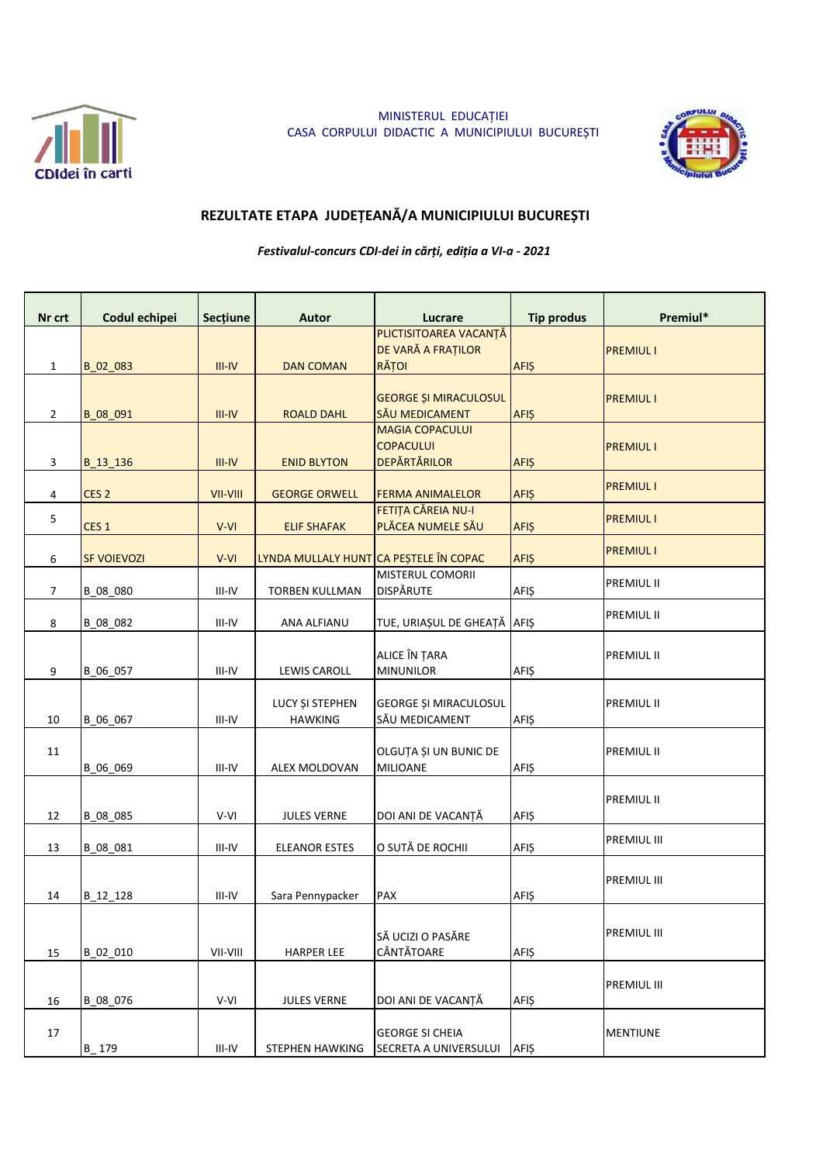

MINISTERUL EDUCAȚIEI CASA CORPULUI DIDACTIC A MUNICIPIULUI BUCUREȘTI



## REZULTATE ETAPA JUDEȚEANĂ/A MUNICIPIULUI BUCUREȘTI

Festivalul-concurs CDI-dei in cărți, ediția a VI-a - 2021

| Nr crt         | Codul echipei      | <b>Sectiune</b> | <b>Autor</b>                           | Lucrare                                                           | <b>Tip produs</b> | Premiul*          |
|----------------|--------------------|-----------------|----------------------------------------|-------------------------------------------------------------------|-------------------|-------------------|
| $\mathbf{1}$   | B_02_083           | $III-IV$        | <b>DAN COMAN</b>                       | PLICTISITOAREA VACANȚĂ<br>DE VARĂ A FRAȚILOR<br>RĂȚOI             | <b>AFIŞ</b>       | <b>PREMIUL I</b>  |
| $\overline{2}$ | B_08_091           | $III-IV$        | <b>ROALD DAHL</b>                      | <b>GEORGE ȘI MIRACULOSUL</b><br>SĂU MEDICAMENT                    | <b>AFIŞ</b>       | <b>PREMIUL I</b>  |
| 3              | B 13 136           | $III - IV$      | <b>ENID BLYTON</b>                     | <b>MAGIA COPACULUI</b><br><b>COPACULUI</b><br><b>DEPĂRTĂRILOR</b> | <b>AFIŞ</b>       | <b>PREMIUL I</b>  |
| 4              | CES <sub>2</sub>   | VII-VIII        | <b>GEORGE ORWELL</b>                   | <b>FERMA ANIMALELOR</b>                                           | <b>AFIŞ</b>       | <b>PREMIUL I</b>  |
| 5              | CES <sub>1</sub>   | V-VI            | <b>ELIF SHAFAK</b>                     | FETIȚA CĂREIA NU-I<br>PLĂCEA NUMELE SĂU                           | <b>AFIŞ</b>       | <b>PREMIUL I</b>  |
| 6              | <b>SF VOIEVOZI</b> | V-VI            | LYNDA MULLALY HUNT CA PEȘTELE ÎN COPAC |                                                                   | <b>AFIŞ</b>       | <b>PREMIUL I</b>  |
| 7              | B_08_080           | III-IV          | <b>TORBEN KULLMAN</b>                  | MISTERUL COMORII<br><b>DISPĂRUTE</b>                              | AFIŞ              | <b>PREMIUL II</b> |
| 8              | B_08_082           | $III-IV$        | ANA ALFIANU                            | TUE, URIAȘUL DE GHEAȚĂ                                            | <b>AFIŞ</b>       | PREMIUL II        |
| 9              | B_06_057           | $III-IV$        | <b>LEWIS CAROLL</b>                    | ALICE ÎN ȚARA<br><b>MINUNILOR</b>                                 | AFIŞ              | PREMIUL II        |
| 10             | B_06_067           | III-IV          | LUCY ȘI STEPHEN<br><b>HAWKING</b>      | GEORGE ȘI MIRACULOSUL<br>SĂU MEDICAMENT                           | <b>AFIŞ</b>       | PREMIUL II        |
| 11             | B_06_069           | III-IV          | ALEX MOLDOVAN                          | OLGUȚA ȘI UN BUNIC DE<br><b>MILIOANE</b>                          | <b>AFIŞ</b>       | <b>PREMIUL II</b> |
| 12             | B_08_085           | V-VI            | <b>JULES VERNE</b>                     | DOI ANI DE VACANȚĂ                                                | <b>AFIŞ</b>       | <b>PREMIUL II</b> |
| 13             | B_08_081           | III-IV          | <b>ELEANOR ESTES</b>                   | O SUTĂ DE ROCHII                                                  | <b>AFIŞ</b>       | PREMIUL III       |
| 14             | B_12_128           | III-IV          | Sara Pennypacker                       | PAX                                                               | <b>AFIŞ</b>       | PREMIUL III       |
| 15             | B 02 010           | VII-VIII        | <b>HARPER LEE</b>                      | SĂ UCIZI O PASĂRE<br>CÂNTĂTOARE                                   | <b>AFIŞ</b>       | PREMIUL III       |
| 16             | B 08 076           | V-VI            | <b>JULES VERNE</b>                     | DOI ANI DE VACANTĂ                                                | <b>AFIS</b>       | PREMIUL III       |
| 17             | $B - 179$          | III-IV          | STEPHEN HAWKING                        | <b>GEORGE SI CHEIA</b><br>SECRETA A UNIVERSULUI                   | <b>AFIŞ</b>       | <b>MENTIUNE</b>   |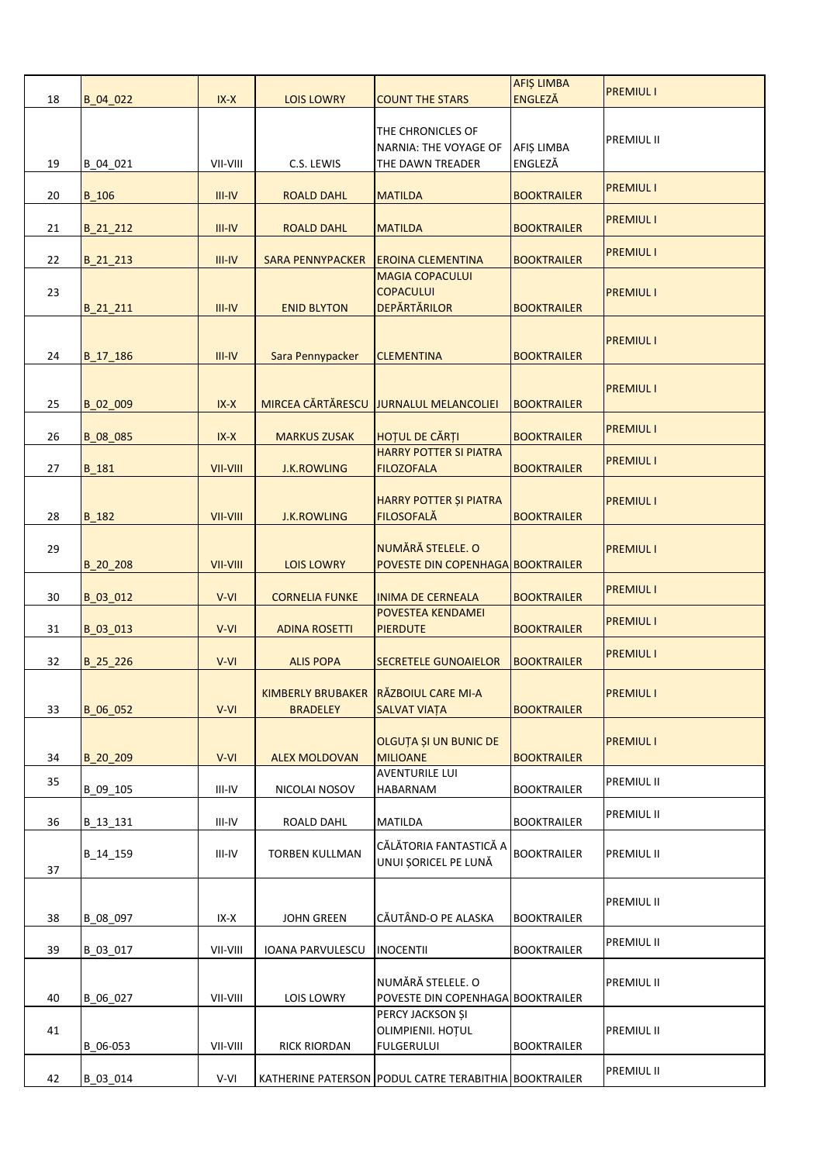| 18 | B_04_022     | $IX-X$          | <b>LOIS LOWRY</b>       | <b>COUNT THE STARS</b>                                            | <b>AFIȘ LIMBA</b><br><b>ENGLEZĂ</b> | <b>PREMIUL I</b> |
|----|--------------|-----------------|-------------------------|-------------------------------------------------------------------|-------------------------------------|------------------|
| 19 | B_04_021     | VII-VIII        | C.S. LEWIS              | THE CHRONICLES OF<br>NARNIA: THE VOYAGE OF<br>THE DAWN TREADER    | AFIȘ LIMBA<br>ENGLEZĂ               | PREMIUL II       |
| 20 | <b>B_106</b> | $III - IV$      | <b>ROALD DAHL</b>       | <b>MATILDA</b>                                                    | <b>BOOKTRAILER</b>                  | <b>PREMIUL I</b> |
| 21 | B_21_212     | $III - IV$      | <b>ROALD DAHL</b>       | <b>MATILDA</b>                                                    | <b>BOOKTRAILER</b>                  | <b>PREMIUL I</b> |
| 22 | B_21_213     | $III$ -IV       | <b>SARA PENNYPACKER</b> | <b>EROINA CLEMENTINA</b>                                          | <b>BOOKTRAILER</b>                  | <b>PREMIUL I</b> |
| 23 | $B_21_211$   | $III$ -IV       | <b>ENID BLYTON</b>      | <b>MAGIA COPACULUI</b><br><b>COPACULUI</b><br><b>DEPÄRTÄRILOR</b> | <b>BOOKTRAILER</b>                  | <b>PREMIUL I</b> |
| 24 | $B_17_186$   | $III - IV$      | Sara Pennypacker        | <b>CLEMENTINA</b>                                                 | <b>BOOKTRAILER</b>                  | <b>PREMIUL I</b> |
| 25 | B 02 009     | $IX-X$          |                         | MIRCEA CĂRTĂRESCU JURNALUL MELANCOLIEI                            | <b>BOOKTRAILER</b>                  | <b>PREMIUL I</b> |
| 26 | B_08_085     | $IX-X$          | <b>MARKUS ZUSAK</b>     | HOȚUL DE CĂRȚI                                                    | <b>BOOKTRAILER</b>                  | <b>PREMIUL I</b> |
| 27 | B_181        | VII-VIII        | <b>J.K.ROWLING</b>      | <b>HARRY POTTER SI PIATRA</b><br><b>FILOZOFALA</b>                | <b>BOOKTRAILER</b>                  | <b>PREMIUL I</b> |
| 28 | B_182        | <b>VII-VIII</b> | <b>J.K.ROWLING</b>      | HARRY POTTER ȘI PIATRA<br><b>FILOSOFALĂ</b>                       | <b>BOOKTRAILER</b>                  | <b>PREMIUL I</b> |
| 29 | $B_20_208$   | VII-VIII        | <b>LOIS LOWRY</b>       | NUMĂRĂ STELELE. O<br>POVESTE DIN COPENHAGA BOOKTRAILER            |                                     | <b>PREMIUL I</b> |
| 30 | B_03_012     | $V-VI$          | <b>CORNELIA FUNKE</b>   | <b>INIMA DE CERNEALA</b>                                          | <b>BOOKTRAILER</b>                  | <b>PREMIUL I</b> |
| 31 | B_03_013     | V-VI            | <b>ADINA ROSETTI</b>    | POVESTEA KENDAMEI<br><b>PIERDUTE</b>                              | <b>BOOKTRAILER</b>                  | <b>PREMIUL I</b> |
| 32 | $B_25_226$   | V-VI            | <b>ALIS POPA</b>        | <b>SECRETELE GUNOAIELOR</b>                                       | <b>BOOKTRAILER</b>                  | <b>PREMIUL I</b> |
| 33 | B_06_052     | V-VI            | <b>BRADELEY</b>         | KIMBERLY BRUBAKER RÄZBOIUL CARE MI-A<br><b>SALVAT VIAȚA</b>       | <b>BOOKTRAILER</b>                  | <b>PREMIUL I</b> |
| 34 | B_20_209     | V-VI            | <b>ALEX MOLDOVAN</b>    | OLGUȚA ȘI UN BUNIC DE<br><b>MILIOANE</b>                          | <b>BOOKTRAILER</b>                  | <b>PREMIUL I</b> |
| 35 | B_09_105     | III-IV          | NICOLAI NOSOV           | <b>AVENTURILE LUI</b><br>HABARNAM                                 | <b>BOOKTRAILER</b>                  | PREMIUL II       |
| 36 | B_13_131     | III-IV          | ROALD DAHL              | MATILDA                                                           | <b>BOOKTRAILER</b>                  | PREMIUL II       |
| 37 | B_14_159     | III-IV          | <b>TORBEN KULLMAN</b>   | CĂLĂTORIA FANTASTICĂ A<br>UNUI ȘORICEL PE LUNĂ                    | <b>BOOKTRAILER</b>                  | PREMIUL II       |
| 38 | B 08 097     | IX-X            | <b>JOHN GREEN</b>       | CĂUTÂND-O PE ALASKA                                               | <b>BOOKTRAILER</b>                  | PREMIUL II       |
| 39 | B_03_017     | VII-VIII        | IOANA PARVULESCU        | <b>INOCENTII</b>                                                  | <b>BOOKTRAILER</b>                  | PREMIUL II       |
| 40 | B_06_027     | VII-VIII        | LOIS LOWRY              | NUMĂRĂ STELELE. O<br>POVESTE DIN COPENHAGA BOOKTRAILER            |                                     | PREMIUL II       |
| 41 | B 06-053     | VII-VIII        | <b>RICK RIORDAN</b>     | PERCY JACKSON ȘI<br>OLIMPIENII. HOȚUL<br><b>FULGERULUI</b>        | <b>BOOKTRAILER</b>                  | PREMIUL II       |
| 42 | B_03_014     | V-VI            |                         | KATHERINE PATERSON PODUL CATRE TERABITHIA BOOKTRAILER             |                                     | PREMIUL II       |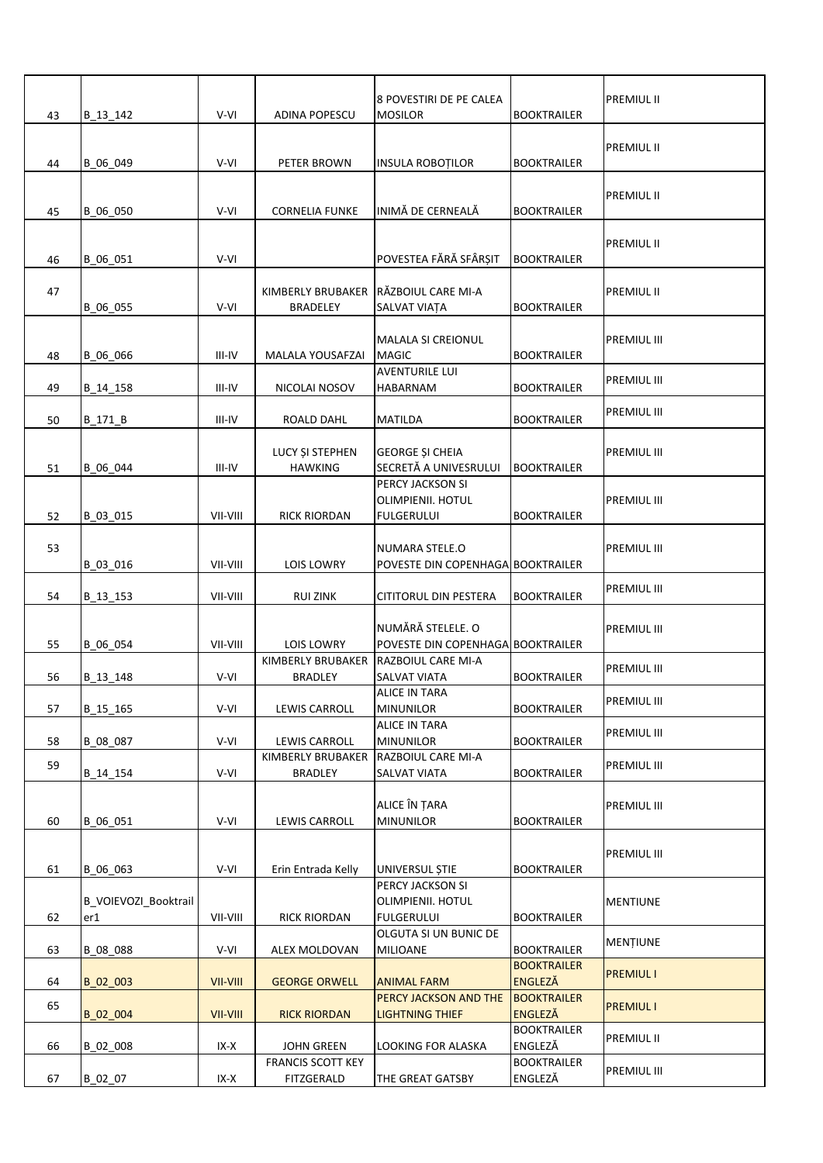| 43 | B_13_142                    | V-VI     | ADINA POPESCU                          | 8 POVESTIRI DE PE CALEA<br><b>MOSILOR</b>                  | <b>BOOKTRAILER</b>                   | <b>PREMIUL II</b>  |
|----|-----------------------------|----------|----------------------------------------|------------------------------------------------------------|--------------------------------------|--------------------|
| 44 | B_06_049                    | V-VI     | PETER BROWN                            | <b>INSULA ROBOȚILOR</b>                                    | <b>BOOKTRAILER</b>                   | <b>PREMIUL II</b>  |
|    |                             |          |                                        |                                                            |                                      | <b>PREMIUL II</b>  |
| 45 | B_06_050                    | V-VI     | <b>CORNELIA FUNKE</b>                  | INIMĂ DE CERNEALĂ                                          | <b>BOOKTRAILER</b>                   |                    |
| 46 | B 06 051                    | V-VI     |                                        | POVESTEA FĂRĂ SFÂRȘIT                                      | <b>BOOKTRAILER</b>                   | PREMIUL II         |
| 47 | B_06_055                    | V-VI     | KIMBERLY BRUBAKER<br><b>BRADELEY</b>   | RĂZBOIUL CARE MI-A<br>SALVAT VIAȚA                         | <b>BOOKTRAILER</b>                   | PREMIUL II         |
|    |                             |          |                                        |                                                            |                                      |                    |
|    |                             |          |                                        | MALALA SI CREIONUL                                         |                                      | PREMIUL III        |
| 48 | B 06 066                    | III-IV   | MALALA YOUSAFZAI                       | <b>MAGIC</b><br><b>AVENTURILE LUI</b>                      | <b>BOOKTRAILER</b>                   |                    |
| 49 | B_14_158                    | III-IV   | NICOLAI NOSOV                          | HABARNAM                                                   | <b>BOOKTRAILER</b>                   | PREMIUL III        |
|    |                             |          |                                        |                                                            |                                      | <b>PREMIUL III</b> |
| 50 | B_171_B                     | III-IV   | ROALD DAHL                             | <b>MATILDA</b>                                             | <b>BOOKTRAILER</b>                   |                    |
| 51 | B_06_044                    | III-IV   | LUCY ȘI STEPHEN<br><b>HAWKING</b>      | <b>GEORGE ȘI CHEIA</b><br>SECRETĂ A UNIVESRULUI            | <b>BOOKTRAILER</b>                   | PREMIUL III        |
| 52 | B 03 015                    | VII-VIII | <b>RICK RIORDAN</b>                    | PERCY JACKSON SI<br>OLIMPIENII. HOTUL<br><b>FULGERULUI</b> | <b>BOOKTRAILER</b>                   | PREMIUL III        |
|    |                             |          |                                        |                                                            |                                      |                    |
| 53 | B_03_016                    | VII-VIII | <b>LOIS LOWRY</b>                      | NUMARA STELE.O<br>POVESTE DIN COPENHAGA BOOKTRAILER        |                                      | PREMIUL III        |
| 54 | B_13_153                    | VII-VIII | <b>RUI ZINK</b>                        | CITITORUL DIN PESTERA                                      | <b>BOOKTRAILER</b>                   | <b>PREMIUL III</b> |
| 55 | B_06_054                    | VII-VIII | <b>LOIS LOWRY</b>                      | NUMĂRĂ STELELE. O<br>POVESTE DIN COPENHAGA BOOKTRAILER     |                                      | PREMIUL III        |
|    |                             |          | KIMBERLY BRUBAKER                      | <b>RAZBOIUL CARE MI-A</b>                                  |                                      | PREMIUL III        |
| 56 | B_13_148                    | V-VI     | <b>BRADLEY</b>                         | SALVAT VIATA                                               | <b>BOOKTRAILER</b>                   |                    |
| 57 | B 15 165                    | V-VI     | LEWIS CARROLL                          | <b>ALICE IN TARA</b><br><b>MINUNILOR</b>                   | <b>BOOKTRAILER</b>                   | <b>PREMIUL III</b> |
| 58 | B 08 087                    | V-VI     | LEWIS CARROLL                          | <b>ALICE IN TARA</b><br><b>MINUNILOR</b>                   | <b>BOOKTRAILER</b>                   | PREMIUL III        |
|    |                             |          | KIMBERLY BRUBAKER                      | RAZBOIUL CARE MI-A                                         |                                      |                    |
| 59 | B_14_154                    | V-VI     | <b>BRADLEY</b>                         | SALVAT VIATA                                               | <b>BOOKTRAILER</b>                   | PREMIUL III        |
|    |                             |          |                                        | ALICE ÎN ȚARA                                              |                                      | PREMIUL III        |
| 60 | B_06_051                    | V-VI     | LEWIS CARROLL                          | <b>MINUNILOR</b>                                           | <b>BOOKTRAILER</b>                   |                    |
| 61 | B 06 063                    | V-VI     | Erin Entrada Kelly                     | UNIVERSUL ȘTIE                                             | <b>BOOKTRAILER</b>                   | PREMIUL III        |
| 62 | B_VOIEVOZI_Booktrail<br>er1 | VII-VIII | <b>RICK RIORDAN</b>                    | PERCY JACKSON SI<br>OLIMPIENII. HOTUL<br><b>FULGERULUI</b> | <b>BOOKTRAILER</b>                   | <b>MENTIUNE</b>    |
|    |                             |          |                                        | OLGUTA SI UN BUNIC DE                                      |                                      |                    |
| 63 | B 08 088                    | V-VI     | ALEX MOLDOVAN                          | <b>MILIOANE</b>                                            | <b>BOOKTRAILER</b>                   | <b>MENTIUNE</b>    |
| 64 | B_02_003                    | VII-VIII | <b>GEORGE ORWELL</b>                   | <b>ANIMAL FARM</b>                                         | <b>BOOKTRAILER</b><br><b>ENGLEZĂ</b> | <b>PREMIUL I</b>   |
| 65 |                             |          |                                        | PERCY JACKSON AND THE                                      | <b>BOOKTRAILER</b>                   | <b>PREMIUL I</b>   |
|    | B_02_004                    | VII-VIII | <b>RICK RIORDAN</b>                    | <b>LIGHTNING THIEF</b>                                     | <b>ENGLEZĂ</b><br><b>BOOKTRAILER</b> |                    |
| 66 | B 02 008                    | IX-X     | <b>JOHN GREEN</b>                      | LOOKING FOR ALASKA                                         | ENGLEZĂ                              | PREMIUL II         |
| 67 | B_02_07                     | IX-X     | <b>FRANCIS SCOTT KEY</b><br>FITZGERALD | THE GREAT GATSBY                                           | <b>BOOKTRAILER</b><br>ENGLEZĂ        | PREMIUL III        |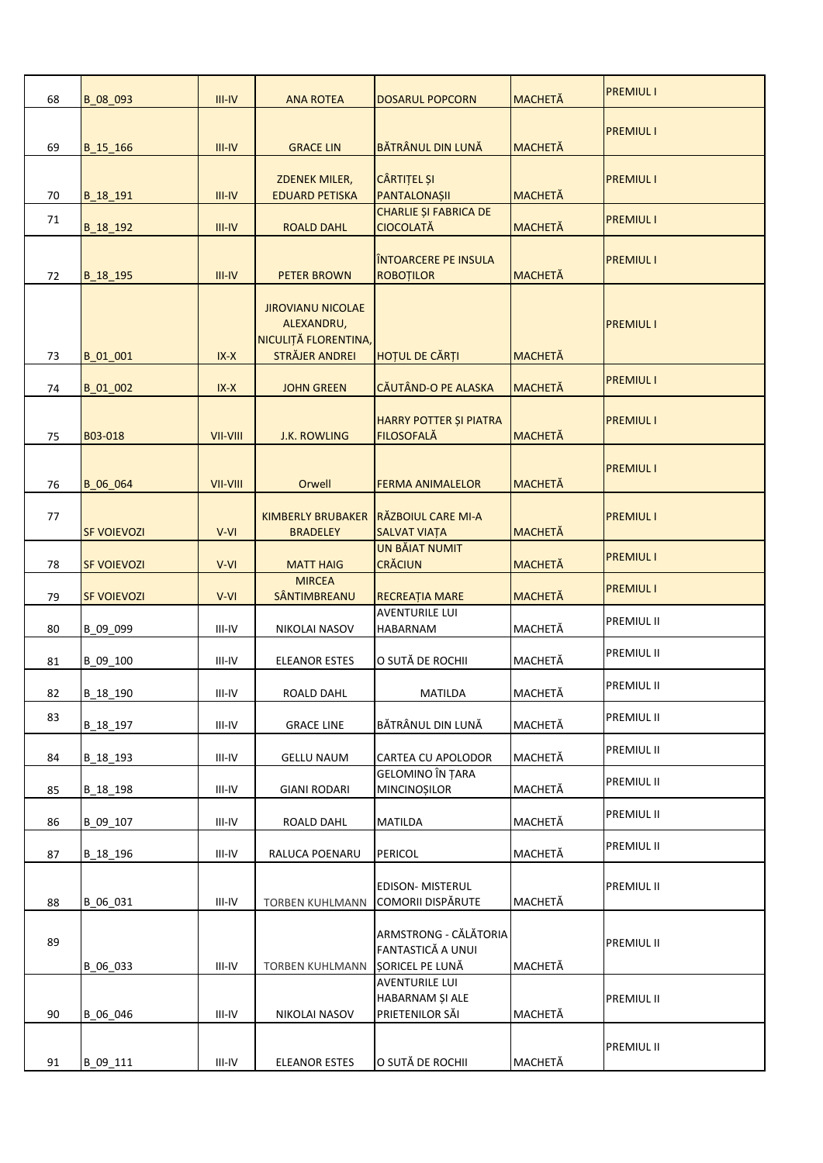| 68 | B_08_093           | $III - IV$ | <b>ANA ROTEA</b>                                                                        | <b>DOSARUL POPCORN</b>                                        | <b>MACHETĂ</b> | <b>PREMIUL I</b>  |
|----|--------------------|------------|-----------------------------------------------------------------------------------------|---------------------------------------------------------------|----------------|-------------------|
| 69 | B_15_166           | $III - IV$ | <b>GRACE LIN</b>                                                                        | BĂTRÂNUL DIN LUNĂ                                             | <b>MACHETĂ</b> | <b>PREMIUL I</b>  |
| 70 | B_18_191           | $III - IV$ | <b>ZDENEK MILER,</b><br><b>EDUARD PETISKA</b>                                           | <b>CÂRTIȚEL ȘI</b><br>PANTALONAȘII                            | <b>MACHETĂ</b> | <b>PREMIUL I</b>  |
| 71 | B_18_192           | $III - IV$ | <b>ROALD DAHL</b>                                                                       | <b>CHARLIE ȘI FABRICA DE</b><br><b>CIOCOLATĂ</b>              | <b>MACHETĂ</b> | <b>PREMIUL I</b>  |
| 72 | B_18_195           | $III - IV$ | <b>PETER BROWN</b>                                                                      | <b>ÎNTOARCERE PE INSULA</b><br><b>ROBOTILOR</b>               | <b>MACHETĂ</b> | <b>PREMIUL I</b>  |
| 73 | B_01_001           | $IX-X$     | <b>JIROVIANU NICOLAE</b><br>ALEXANDRU,<br>NICULIȚĂ FLORENTINA,<br><b>STRÄJER ANDREI</b> | HOȚUL DE CĂRȚI                                                | <b>MACHETĂ</b> | <b>PREMIUL I</b>  |
| 74 | B_01_002           | $IX-X$     | <b>JOHN GREEN</b>                                                                       | <b>CĂUTÂND-O PE ALASKA</b>                                    | <b>MACHETĂ</b> | <b>PREMIUL I</b>  |
| 75 | B03-018            | VII-VIII   | <b>J.K. ROWLING</b>                                                                     | HARRY POTTER ȘI PIATRA<br><b>FILOSOFALĂ</b>                   | <b>MACHETĂ</b> | <b>PREMIUL I</b>  |
| 76 | B 06 064           | VII-VIII   | Orwell                                                                                  | <b>FERMA ANIMALELOR</b>                                       | <b>MACHETĂ</b> | <b>PREMIUL I</b>  |
| 77 | <b>SF VOIEVOZI</b> | V-VI       | <b>KIMBERLY BRUBAKER</b><br><b>BRADELEY</b>                                             | RĂZBOIUL CARE MI-A<br>SALVAT VIAȚA                            | <b>MACHETĂ</b> | <b>PREMIUL I</b>  |
| 78 | <b>SF VOIEVOZI</b> | V-VI       | <b>MATT HAIG</b>                                                                        | <b>UN BĂIAT NUMIT</b><br><b>CRĂCIUN</b>                       | <b>MACHETĂ</b> | <b>PREMIUL I</b>  |
| 79 | <b>SF VOIEVOZI</b> | $V-VI$     | <b>MIRCEA</b><br>SÂNTIMBREANU                                                           | RECREAȚIA MARE                                                | <b>MACHETĂ</b> | <b>PREMIUL I</b>  |
| 80 | B_09_099           | III-IV     | NIKOLAI NASOV                                                                           | <b>AVENTURILE LUI</b><br>HABARNAM                             | MACHETĂ        | <b>PREMIUL II</b> |
| 81 | B 09 100           | III-IV     | ELEANOR ESTES                                                                           | O SUTĂ DE ROCHII                                              | MACHETĂ        | <b>PREMIUL II</b> |
| 82 | B_18_190           | III-IV     | ROALD DAHL                                                                              | <b>MATILDA</b>                                                | MACHETĂ        | <b>PREMIUL II</b> |
| 83 | B_18_197           | III-IV     | <b>GRACE LINE</b>                                                                       | BĂTRÂNUL DIN LUNĂ                                             | MACHETĂ        | <b>PREMIUL II</b> |
| 84 | B 18 193           | III-IV     | <b>GELLU NAUM</b>                                                                       | CARTEA CU APOLODOR                                            | MACHETĂ        | PREMIUL II        |
| 85 | B 18 198           | III-IV     | <b>GIANI RODARI</b>                                                                     | <b>GELOMINO ÎN ȚARA</b><br><b>MINCINOȘILOR</b>                | MACHETĂ        | PREMIUL II        |
| 86 | B 09 107           | III-IV     | ROALD DAHL                                                                              | MATILDA                                                       | MACHETĂ        | <b>PREMIUL II</b> |
| 87 | B 18 196           | III-IV     | RALUCA POENARU                                                                          | PERICOL                                                       | MACHETĂ        | <b>PREMIUL II</b> |
| 88 | B_06_031           | III-IV     | <b>TORBEN KUHLMANN</b>                                                                  | <b>EDISON- MISTERUL</b><br><b>COMORII DISPĂRUTE</b>           | MACHETĂ        | <b>PREMIUL II</b> |
| 89 | B_06_033           | III-IV     | <b>TORBEN KUHLMANN</b>                                                                  | ARMSTRONG - CĂLĂTORIA<br>FANTASTICĂ A UNUI<br>SORICEL PE LUNĂ | MACHETĂ        | <b>PREMIUL II</b> |
| 90 | B 06 046           | III-IV     | NIKOLAI NASOV                                                                           | <b>AVENTURILE LUI</b><br>HABARNAM ȘI ALE<br>PRIETENILOR SĂI   | MACHETĂ        | <b>PREMIUL II</b> |
| 91 | B_09_111           | III-IV     | <b>ELEANOR ESTES</b>                                                                    | O SUTĂ DE ROCHII                                              | MACHETĂ        | <b>PREMIUL II</b> |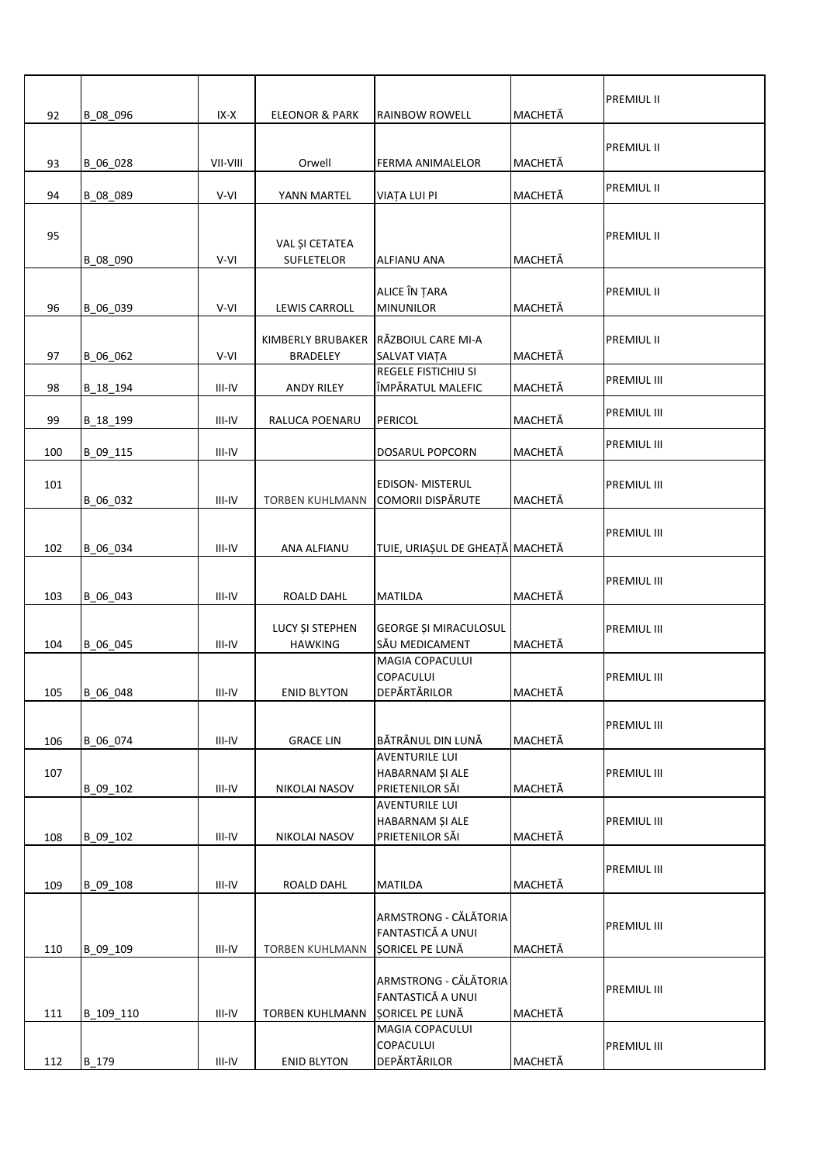| 92       | B_08_096             | IX-X             | <b>ELEONOR &amp; PARK</b>         | <b>RAINBOW ROWELL</b>                                                | MACHETĂ            | <b>PREMIUL II</b>  |
|----------|----------------------|------------------|-----------------------------------|----------------------------------------------------------------------|--------------------|--------------------|
|          |                      |                  |                                   |                                                                      |                    | <b>PREMIUL II</b>  |
| 93<br>94 | B_06_028<br>B_08_089 | VII-VIII<br>V-VI | Orwell<br>YANN MARTEL             | <b>FERMA ANIMALELOR</b><br>VIAȚA LUI PI                              | MACHETĂ<br>MACHETĂ | <b>PREMIUL II</b>  |
| 95       |                      |                  | VAL ȘI CETATEA                    |                                                                      |                    | <b>PREMIUL II</b>  |
| 96       | B_08_090<br>B_06_039 | V-VI<br>V-VI     | SUFLETELOR<br>LEWIS CARROLL       | <b>ALFIANU ANA</b><br>ALICE ÎN ȚARA<br><b>MINUNILOR</b>              | MACHETĂ<br>MACHETĂ | PREMIUL II         |
| 97       | B_06_062             | V-VI             | KIMBERLY BRUBAKER<br>BRADELEY     | RĂZBOIUL CARE MI-A<br>SALVAT VIAȚA                                   | MACHETĂ            | <b>PREMIUL II</b>  |
| 98       | B 18 194             | III-IV           | <b>ANDY RILEY</b>                 | <b>REGELE FISTICHIU SI</b><br>ÎMPĂRATUL MALEFIC                      | MACHETĂ            | PREMIUL III        |
| 99       | B_18_199             | III-IV           | RALUCA POENARU                    | PERICOL                                                              | MACHETĂ            | PREMIUL III        |
| 100      | B 09 115             | $III-IV$         |                                   | DOSARUL POPCORN                                                      | MACHETĂ            | PREMIUL III        |
| 101      | B_06_032             | III-IV           | TORBEN KUHLMANN                   | <b>EDISON- MISTERUL</b><br><b>COMORII DISPĂRUTE</b>                  | MACHETĂ            | PREMIUL III        |
| 102      | B_06_034             | III-IV           | ANA ALFIANU                       | TUIE, URIAȘUL DE GHEAȚĂ MACHETĂ                                      |                    | <b>PREMIUL III</b> |
| 103      | B_06_043             | III-IV           | ROALD DAHL                        | <b>MATILDA</b>                                                       | MACHETĂ            | <b>PREMIUL III</b> |
| 104      | B_06_045             | $III-IV$         | LUCY ȘI STEPHEN<br><b>HAWKING</b> | GEORGE ȘI MIRACULOSUL<br>SĂU MEDICAMENT                              | MACHETĂ            | PREMIUL III        |
|          | 105 B_06_048         | III-IV           | <b>ENID BLYTON</b>                | <b>MAGIA COPACULUI</b><br><b>COPACULUI</b><br>DEPĂRTĂRILOR           | MACHETĂ            | <b>PREMIUL III</b> |
| 106      | B_06_074             | III-IV           | <b>GRACE LIN</b>                  | BĂTRÂNUL DIN LUNĂ                                                    | MACHETĂ            | PREMIUL III        |
| 107      | B_09_102             | III-IV           | NIKOLAI NASOV                     | <b>AVENTURILE LUI</b><br>HABARNAM ȘI ALE<br>PRIETENILOR SĂI          | MACHETĂ            | PREMIUL III        |
| 108      | B_09_102             | $III-IV$         | NIKOLAI NASOV                     | <b>AVENTURILE LUI</b><br>HABARNAM ȘI ALE<br>PRIETENILOR SĂI          | MACHETĂ            | PREMIUL III        |
| 109      | B_09_108             | $III-IV$         | ROALD DAHL                        | MATILDA                                                              | MACHETĂ            | PREMIUL III        |
| 110      | B 09 109             | $III-IV$         | <b>TORBEN KUHLMANN</b>            | ARMSTRONG - CĂLĂTORIA<br>FANTASTICĂ A UNUI<br>SORICEL PE LUNĂ        | MACHETĂ            | <b>PREMIUL III</b> |
| 111      | B 109 110            | III-IV           | <b>TORBEN KUHLMANN</b>            | ARMSTRONG - CĂLĂTORIA<br>FANTASTICĂ A UNUI<br><b>ȘORICEL PE LUNĂ</b> | MACHETĂ            | PREMIUL III        |
| 112      | B 179                | $III-IV$         | <b>ENID BLYTON</b>                | MAGIA COPACULUI<br>COPACULUI<br>DEPĂRTĂRILOR                         | MACHETĂ            | PREMIUL III        |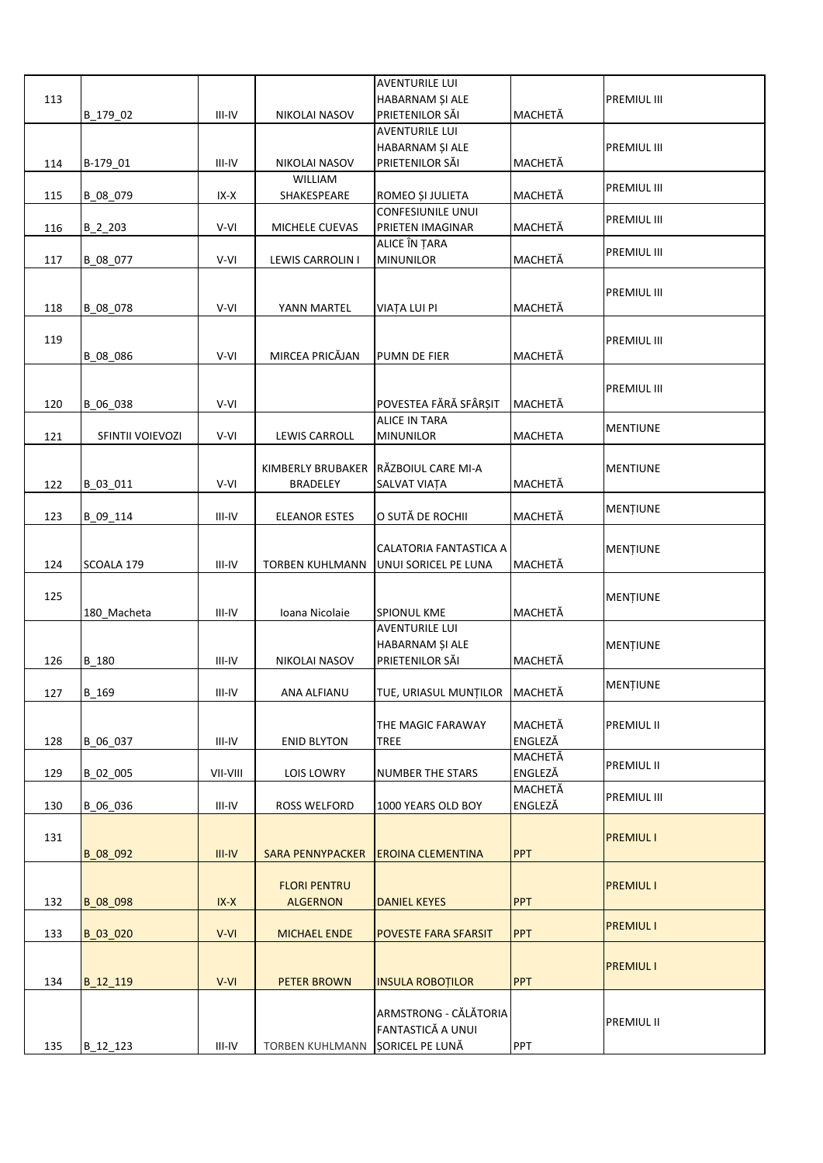|     |                  |            |                                      | <b>AVENTURILE LUI</b>                |            |                    |
|-----|------------------|------------|--------------------------------------|--------------------------------------|------------|--------------------|
| 113 |                  |            |                                      | HABARNAM ȘI ALE                      |            | <b>PREMIUL III</b> |
|     | B_179_02         | $III-IV$   | NIKOLAI NASOV                        | PRIETENILOR SĂI                      | MACHETĂ    |                    |
|     |                  |            |                                      | <b>AVENTURILE LUI</b>                |            |                    |
|     |                  |            |                                      | HABARNAM ȘI ALE                      |            | <b>PREMIUL III</b> |
| 114 | B-179_01         | III-IV     | NIKOLAI NASOV                        | PRIETENILOR SĂI                      | MACHETĂ    |                    |
|     |                  |            | WILLIAM                              |                                      |            |                    |
| 115 | B_08_079         | IX-X       | SHAKESPEARE                          | ROMEO ȘI JULIETA                     | MACHETĂ    | PREMIUL III        |
|     |                  |            |                                      | <b>CONFESIUNILE UNUI</b>             |            |                    |
| 116 | $B_2_203$        | V-VI       | MICHELE CUEVAS                       | PRIETEN IMAGINAR                     | MACHETĂ    | PREMIUL III        |
|     |                  |            |                                      | ALICE ÎN ȚARA                        |            |                    |
| 117 | B_08_077         | V-VI       | LEWIS CARROLIN I                     | <b>MINUNILOR</b>                     | MACHETĂ    | PREMIUL III        |
|     |                  |            |                                      |                                      |            |                    |
|     |                  |            |                                      |                                      |            | <b>PREMIUL III</b> |
| 118 | B_08_078         | V-VI       | YANN MARTEL                          | <b>VIATA LUI PI</b>                  | MACHETĂ    |                    |
|     |                  |            |                                      |                                      |            |                    |
| 119 |                  |            |                                      |                                      |            | <b>PREMIUL III</b> |
|     | B_08_086         | V-VI       | MIRCEA PRICĂJAN                      | PUMN DE FIER                         | MACHETĂ    |                    |
|     |                  |            |                                      |                                      |            |                    |
|     |                  |            |                                      |                                      |            | <b>PREMIUL III</b> |
| 120 | B 06 038         | V-VI       |                                      | POVESTEA FĂRĂ SFÂRȘIT                | MACHETĂ    |                    |
|     |                  |            |                                      | <b>ALICE IN TARA</b>                 |            |                    |
| 121 | SFINTII VOIEVOZI | V-VI       | LEWIS CARROLL                        | <b>MINUNILOR</b>                     | MACHETA    | <b>MENTIUNE</b>    |
|     |                  |            |                                      |                                      |            |                    |
|     |                  |            | KIMBERLY BRUBAKER RÄZBOIUL CARE MI-A |                                      |            | <b>MENTIUNE</b>    |
|     |                  |            |                                      |                                      | MACHETĂ    |                    |
| 122 | B 03 011         | V-VI       | <b>BRADELEY</b>                      | SALVAT VIAȚA                         |            |                    |
|     |                  |            |                                      | O SUTĂ DE ROCHII                     |            | MENTIUNE           |
| 123 | B_09_114         | III-IV     | <b>ELEANOR ESTES</b>                 |                                      | MACHETĂ    |                    |
|     |                  |            |                                      |                                      |            |                    |
|     |                  |            |                                      | CALATORIA FANTASTICA A               |            | MENȚIUNE           |
| 124 | SCOALA 179       | III-IV     | TORBEN KUHLMANN                      | UNUI SORICEL PE LUNA                 | MACHETĂ    |                    |
|     |                  |            |                                      |                                      |            |                    |
| 125 |                  |            |                                      |                                      |            | MENȚIUNE           |
|     | 180 Macheta      | III-IV     | Ioana Nicolaie                       | <b>SPIONUL KME</b>                   | MACHETĂ    |                    |
|     |                  |            |                                      | <b>AVENTURILE LUI</b>                |            |                    |
|     |                  |            |                                      | HABARNAM ȘI ALE                      |            | MENȚIUNE           |
| 126 | B 180            | III-IV     | <b>NIKOLAI NASOV</b>                 | PRIETENILOR SĂI                      | MACHETĂ    |                    |
|     |                  |            |                                      |                                      |            | <b>MENTIUNE</b>    |
| 127 | B_169            | III-IV     | ANA ALFIANU                          | TUE, URIASUL MUNȚILOR MACHETĂ        |            |                    |
|     |                  |            |                                      |                                      |            |                    |
|     |                  |            |                                      | THE MAGIC FARAWAY                    | MACHETĂ    | <b>PREMIUL II</b>  |
| 128 | B 06 037         | $III-IV$   | <b>ENID BLYTON</b>                   | TREE                                 | ENGLEZĂ    |                    |
|     |                  |            |                                      |                                      | MACHETĂ    | PREMIUL II         |
| 129 | B 02 005         | VII-VIII   | <b>LOIS LOWRY</b>                    | <b>NUMBER THE STARS</b>              | ENGLEZĂ    |                    |
|     |                  |            |                                      |                                      | MACHETĂ    | <b>PREMIUL III</b> |
| 130 | B 06_036         | III-IV     | ROSS WELFORD                         | 1000 YEARS OLD BOY                   | ENGLEZĂ    |                    |
|     |                  |            |                                      |                                      |            |                    |
| 131 |                  |            |                                      |                                      |            | <b>PREMIUL I</b>   |
|     | B 08 092         | $III - IV$ |                                      | SARA PENNYPACKER EROINA CLEMENTINA   | <b>PPT</b> |                    |
|     |                  |            |                                      |                                      |            |                    |
|     |                  |            | <b>FLORI PENTRU</b>                  |                                      |            | <b>PREMIUL I</b>   |
| 132 | B 08 098         | $IX-X$     | <b>ALGERNON</b>                      | <b>DANIEL KEYES</b>                  | <b>PPT</b> |                    |
|     |                  |            |                                      |                                      |            |                    |
| 133 | B 03 020         | $V-VI$     | <b>MICHAEL ENDE</b>                  | <b>POVESTE FARA SFARSIT</b>          | PPT        | <b>PREMIUL I</b>   |
|     |                  |            |                                      |                                      |            |                    |
|     |                  |            |                                      |                                      |            | <b>PREMIUL I</b>   |
| 134 | B_12_119         | $V-VI$     | <b>PETER BROWN</b>                   | <b>INSULA ROBOTILOR</b>              | <b>PPT</b> |                    |
|     |                  |            |                                      |                                      |            |                    |
|     |                  |            |                                      | ARMSTRONG - CĂLĂTORIA                |            |                    |
|     |                  |            |                                      |                                      |            |                    |
|     |                  |            |                                      |                                      |            | <b>PREMIUL II</b>  |
| 135 | B_12_123         | III-IV     | <b>TORBEN KUHLMANN</b>               | FANTASTICĂ A UNUI<br>SORICEL PE LUNĂ | PPT        |                    |